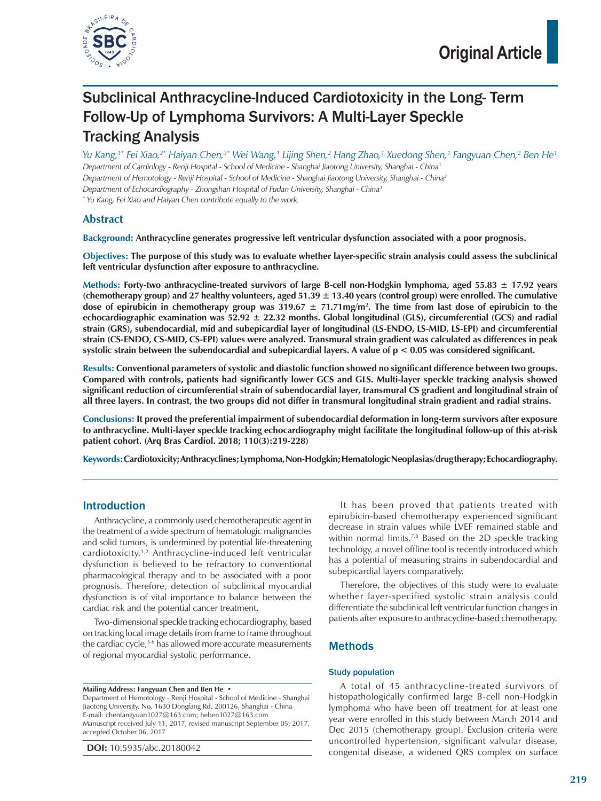

# Subclinical Anthracycline-Induced Cardiotoxicity in the Long- Term Follow-Up of Lymphoma Survivors: A Multi-Layer Speckle Tracking Analysis

*Yu Kang,1\* Fei Xiao,2\* Haiyan Chen,3\* Wei Wang,1 Lijing Shen,2 Hang Zhao,1 Xuedong Shen,1 Fangyuan Chen,2 Ben He1*

*Department of Cardiology - Renji Hospital - School of Medicine - Shanghai Jiaotong University, Shanghai - China1*

*Department of Hemotology - Renji Hospital - School of Medicine - Shanghai Jiaotong University, Shanghai - China2*

*Department of Echocardiography - Zhongshan Hospital of Fudan University, Shanghai - China3*

*\* Yu Kang, Fei Xiao and Haiyan Chen contribute equally to the work.*

## **Abstract**

**Background: Anthracycline generates progressive left ventricular dysfunction associated with a poor prognosis.**

**Objectives: The purpose of this study was to evaluate whether layer-specific strain analysis could assess the subclinical left ventricular dysfunction after exposure to anthracycline.**

**Methods: Forty-two anthracycline-treated survivors of large B-cell non-Hodgkin lymphoma, aged 55.83 ± 17.92 years (chemotherapy group) and 27 healthy volunteers, aged 51.39 ± 13.40 years (control group) were enrolled. The cumulative dose of epirubicin in chemotherapy group was 319.67 ± 71.71mg/m2 . The time from last dose of epirubicin to the echocardiographic examination was 52.92 ± 22.32 months. Global longitudinal (GLS), circumferential (GCS) and radial strain (GRS), subendocardial, mid and subepicardial layer of longitudinal (LS-ENDO, LS-MID, LS-EPI) and circumferential strain (CS-ENDO, CS-MID, CS-EPI) values were analyzed. Transmural strain gradient was calculated as differences in peak systolic strain between the subendocardial and subepicardial layers. A value of p < 0.05 was considered significant.**

**Results: Conventional parameters of systolic and diastolic function showed no significant difference between two groups. Compared with controls, patients had significantly lower GCS and GLS. Multi-layer speckle tracking analysis showed significant reduction of circumferential strain of subendocardial layer, transmural CS gradient and longitudinal strain of all three layers. In contrast, the two groups did not differ in transmural longitudinal strain gradient and radial strains.**

**Conclusions: It proved the preferential impairment of subendocardial deformation in long-term survivors after exposure to anthracycline. Multi-layer speckle tracking echocardiography might facilitate the longitudinal follow-up of this at-risk patient cohort. (Arq Bras Cardiol. 2018; 110(3):219-228)** 

**Keywords: Cardiotoxicity; Anthracyclines; Lymphoma, Non-Hodgkin; Hematologic Neoplasias/drug therapy; Echocardiography.**

### Introduction

Anthracycline, a commonly used chemotherapeutic agent in the treatment of a wide spectrum of hematologic malignancies and solid tumors, is undermined by potential life-threatening cardiotoxicity.1,2 Anthracycline-induced left ventricular dysfunction is believed to be refractory to conventional pharmacological therapy and to be associated with a poor prognosis. Therefore, detection of subclinical myocardial dysfunction is of vital importance to balance between the cardiac risk and the potential cancer treatment.

Two-dimensional speckle tracking echocardiography, based on tracking local image details from frame to frame throughout the cardiac cycle,  $3-6$  has allowed more accurate measurements of regional myocardial systolic performance.

#### **Mailing Address: Fangyuan Chen and Ben He •**

Department of Hemotology - Renji Hospital - School of Medicine - Shanghai Jiaotong University. No. 1630 Dongfang Rd, 200126, Shanghai - China E-mail: chenfangyuan1027@163.com; heben1027@163.com Manuscript received July 11, 2017, revised manuscript September 05, 2017, accepted October 06, 2017

**DOI:** 10.5935/abc.20180042

It has been proved that patients treated with epirubicin-based chemotherapy experienced significant decrease in strain values while LVEF remained stable and within normal limits.<sup>7,8</sup> Based on the 2D speckle tracking technology, a novel offline tool is recently introduced which has a potential of measuring strains in subendocardial and subepicardial layers comparatively.

Therefore, the objectives of this study were to evaluate whether layer-specified systolic strain analysis could differentiate the subclinical left ventricular function changes in patients after exposure to anthracycline-based chemotherapy.

### Methods

#### Study population

A total of 45 anthracycline-treated survivors of histopathologically confirmed large B-cell non-Hodgkin lymphoma who have been off treatment for at least one year were enrolled in this study between March 2014 and Dec 2015 (chemotherapy group). Exclusion criteria were uncontrolled hypertension, significant valvular disease, congenital disease, a widened QRS complex on surface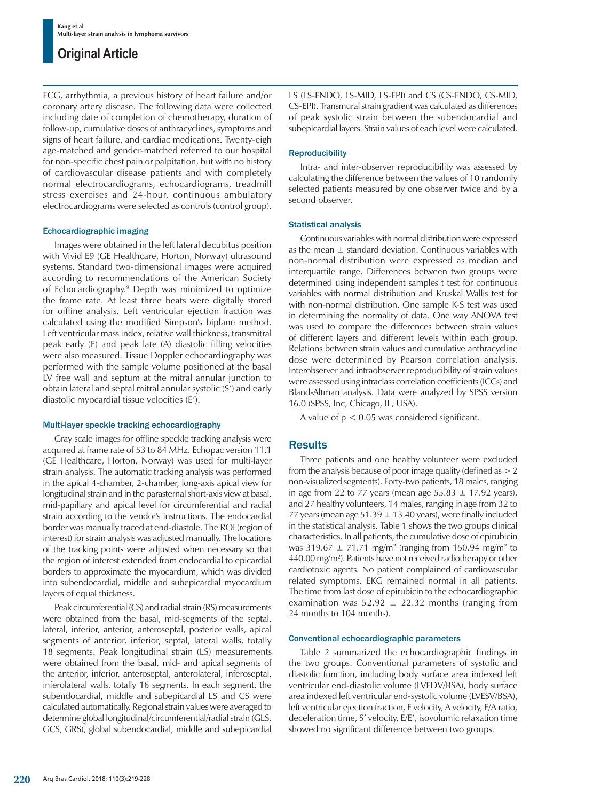ECG, arrhythmia, a previous history of heart failure and/or coronary artery disease. The following data were collected including date of completion of chemotherapy, duration of follow-up, cumulative doses of anthracyclines, symptoms and signs of heart failure, and cardiac medications. Twenty-eigh age-matched and gender-matched referred to our hospital for non-specific chest pain or palpitation, but with no history of cardiovascular disease patients and with completely normal electrocardiograms, echocardiograms, treadmill stress exercises and 24-hour, continuous ambulatory electrocardiograms were selected as controls (control group).

#### Echocardiographic imaging

Images were obtained in the left lateral decubitus position with Vivid E9 (GE Healthcare, Horton, Norway) ultrasound systems. Standard two-dimensional images were acquired according to recommendations of the American Society of Echocardiography.9 Depth was minimized to optimize the frame rate. At least three beats were digitally stored for offline analysis. Left ventricular ejection fraction was calculated using the modified Simpson's biplane method. Left ventricular mass index, relative wall thickness, transmitral peak early (E) and peak late (A) diastolic filling velocities were also measured. Tissue Doppler echocardiography was performed with the sample volume positioned at the basal LV free wall and septum at the mitral annular junction to obtain lateral and septal mitral annular systolic (S') and early diastolic myocardial tissue velocities (E').

#### Multi-layer speckle tracking echocardiography

Gray scale images for offline speckle tracking analysis were acquired at frame rate of 53 to 84 MHz. Echopac version 11.1 (GE Healthcare, Horton, Norway) was used for multi-layer strain analysis. The automatic tracking analysis was performed in the apical 4-chamber, 2-chamber, long-axis apical view for longitudinal strain and in the parasternal short-axis view at basal, mid-papillary and apical level for circumferential and radial strain according to the vendor's instructions. The endocardial border was manually traced at end-diastole. The ROI (region of interest) for strain analysis was adjusted manually. The locations of the tracking points were adjusted when necessary so that the region of interest extended from endocardial to epicardial borders to approximate the myocardium, which was divided into subendocardial, middle and subepicardial myocardium layers of equal thickness.

Peak circumferential (CS) and radial strain (RS) measurements were obtained from the basal, mid-segments of the septal, lateral, inferior, anterior, anteroseptal, posterior walls, apical segments of anterior, inferior, septal, lateral walls, totally 18 segments. Peak longitudinal strain (LS) measurements were obtained from the basal, mid- and apical segments of the anterior, inferior, anteroseptal, anterolateral, inferoseptal, inferolateral walls, totally 16 segments. In each segment, the subendocardial, middle and subepicardial LS and CS were calculated automatically. Regional strain values were averaged to determine global longitudinal/circumferential/radial strain (GLS, GCS, GRS), global subendocardial, middle and subepicardial LS (LS-ENDO, LS-MID, LS-EPI) and CS (CS-ENDO, CS-MID, CS-EPI). Transmural strain gradient was calculated as differences of peak systolic strain between the subendocardial and subepicardial layers. Strain values of each level were calculated.

#### Reproducibility

Intra- and inter-observer reproducibility was assessed by calculating the difference between the values of 10 randomly selected patients measured by one observer twice and by a second observer.

#### Statistical analysis

Continuous variables with normal distribution were expressed as the mean  $\pm$  standard deviation. Continuous variables with non-normal distribution were expressed as median and interquartile range. Differences between two groups were determined using independent samples t test for continuous variables with normal distribution and Kruskal Wallis test for with non-normal distribution. One sample K-S test was used in determining the normality of data. One way ANOVA test was used to compare the differences between strain values of different layers and different levels within each group. Relations between strain values and cumulative anthracycline dose were determined by Pearson correlation analysis. Interobserver and intraobserver reproducibility of strain values were assessed using intraclass correlation coefficients (ICCs) and Bland-Altman analysis. Data were analyzed by SPSS version 16.0 (SPSS, Inc, Chicago, IL, USA).

A value of  $p < 0.05$  was considered significant.

#### Results

Three patients and one healthy volunteer were excluded from the analysis because of poor image quality (defined as > 2 non-visualized segments). Forty-two patients, 18 males, ranging in age from 22 to 77 years (mean age  $55.83 \pm 17.92$  years), and 27 healthy volunteers, 14 males, ranging in age from 32 to 77 years (mean age  $51.39 \pm 13.40$  years), were finally included in the statistical analysis. Table 1 shows the two groups clinical characteristics. In all patients, the cumulative dose of epirubicin was 319.67  $\pm$  71.71 mg/m<sup>2</sup> (ranging from 150.94 mg/m<sup>2</sup> to 440.00 mg/m<sup>2</sup>). Patients have not received radiotherapy or other cardiotoxic agents. No patient complained of cardiovascular related symptoms. EKG remained normal in all patients. The time from last dose of epirubicin to the echocardiographic examination was  $52.92 \pm 22.32$  months (ranging from 24 months to 104 months).

#### Conventional echocardiographic parameters

Table 2 summarized the echocardiographic findings in the two groups. Conventional parameters of systolic and diastolic function, including body surface area indexed left ventricular end-diastolic volume (LVEDV/BSA), body surface area indexed left ventricular end-systolic volume (LVESV/BSA), left ventricular ejection fraction, E velocity, A velocity, E/A ratio, deceleration time, S' velocity, E/E', isovolumic relaxation time showed no significant difference between two groups.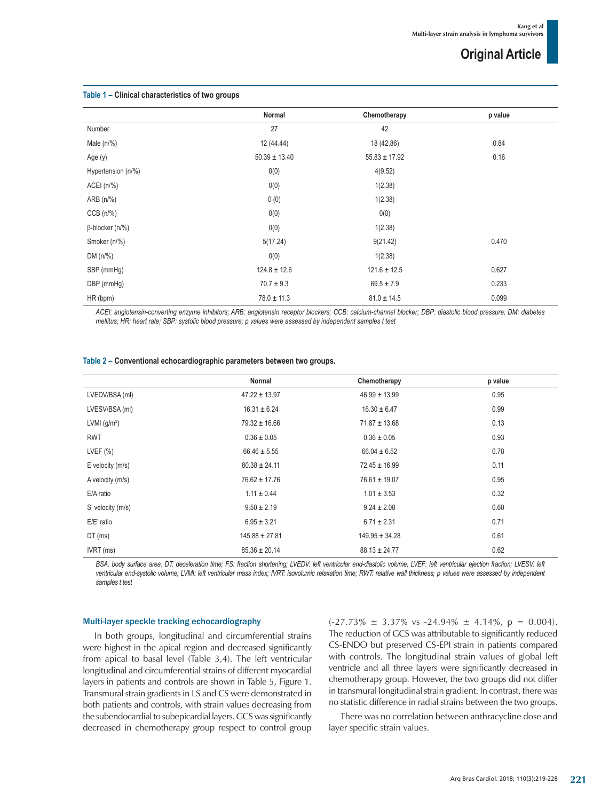|                        | Normal            | Chemotherapy      | p value |
|------------------------|-------------------|-------------------|---------|
| Number                 | 27                | 42                |         |
| Male $(n\frac{9}{6})$  | 12 (44.44)        | 18 (42.86)        | 0.84    |
| Age (y)                | $50.39 \pm 13.40$ | $55.83 \pm 17.92$ | 0.16    |
| Hypertension (n/%)     | 0(0)              | 4(9.52)           |         |
| ACEI $(n\%)$           | 0(0)              | 1(2.38)           |         |
| ARB (n/%)              | 0(0)              | 1(2.38)           |         |
| $CCB(n\%)$             | 0(0)              | 0(0)              |         |
| $\beta$ -blocker (n/%) | 0(0)              | 1(2.38)           |         |
| Smoker (n/%)           | 5(17.24)          | 9(21.42)          | 0.470   |
| DM $(n/\%)$            | 0(0)              | 1(2.38)           |         |
| SBP (mmHg)             | $124.8 \pm 12.6$  | $121.6 \pm 12.5$  | 0.627   |
| DBP (mmHg)             | $70.7 \pm 9.3$    | $69.5 \pm 7.9$    | 0.233   |
| HR (bpm)               | $78.0 \pm 11.3$   | $81.0 \pm 14.5$   | 0.099   |

#### **Table 1 – Clinical characteristics of two groups**

*ACEI: angiotensin-converting enzyme inhibitors; ARB: angiotensin receptor blockers; CCB: calcium-channel blocker; DBP: diastolic blood pressure; DM: diabetes mellitus; HR: heart rate; SBP: systolic blood pressure; p values were assessed by independent samples t test*

#### **Table 2 – Conventional echocardiographic parameters between two groups.**

|                   | <b>Normal</b>      | Chemotherapy       | p value |
|-------------------|--------------------|--------------------|---------|
| LVEDV/BSA (ml)    | $47.22 \pm 13.97$  | $46.99 \pm 13.99$  | 0.95    |
| LVESV/BSA (ml)    | $16.31 \pm 6.24$   | $16.30 \pm 6.47$   | 0.99    |
| LVMI $(g/m2)$     | $79.32 \pm 16.66$  | $71.87 \pm 13.68$  | 0.13    |
| <b>RWT</b>        | $0.36 \pm 0.05$    | $0.36 \pm 0.05$    | 0.93    |
| LVEF $(%)$        | $66.46 \pm 5.55$   | $66.04 \pm 6.52$   | 0.78    |
| E velocity (m/s)  | $80.38 \pm 24.11$  | $72.45 \pm 16.99$  | 0.11    |
| A velocity (m/s)  | $76.62 \pm 17.76$  | $76.61 \pm 19.07$  | 0.95    |
| E/A ratio         | $1.11 \pm 0.44$    | $1.01 \pm 3.53$    | 0.32    |
| S' velocity (m/s) | $9.50 \pm 2.19$    | $9.24 \pm 2.08$    | 0.60    |
| $E/E'$ ratio      | $6.95 \pm 3.21$    | $6.71 \pm 2.31$    | 0.71    |
| $DT$ (ms)         | $145.88 \pm 27.81$ | $149.95 \pm 34.28$ | 0.61    |
| IVRT (ms)         | $85.36 \pm 20.14$  | $88.13 \pm 24.77$  | 0.62    |

BSA: body surface area; DT: deceleration time; FS: fraction shortening; LVEDV: left ventricular end-diastolic volume; LVEF: left ventricular ejection fraction; LVESV: left ventricular end-systolic volume; LVMI: left ventricular mass index; IVRT: isovolumic relaxation time; RWT: relative wall thickness; p values were assessed by independent *samples t test*

#### Multi-layer speckle tracking echocardiography

In both groups, longitudinal and circumferential strains were highest in the apical region and decreased significantly from apical to basal level (Table 3,4). The left ventricular longitudinal and circumferential strains of different myocardial layers in patients and controls are shown in Table 5, Figure 1. Transmural strain gradients in LS and CS were demonstrated in both patients and controls, with strain values decreasing from the subendocardial to subepicardial layers. GCS was significantly decreased in chemotherapy group respect to control group  $(-27.73\% \pm 3.37\% \text{ vs } -24.94\% \pm 4.14\%, \text{ p} = 0.004).$ The reduction of GCS was attributable to significantly reduced CS-ENDO but preserved CS-EPI strain in patients compared with controls. The longitudinal strain values of global left ventricle and all three layers were significantly decreased in chemotherapy group. However, the two groups did not differ in transmural longitudinal strain gradient. In contrast, there was no statistic difference in radial strains between the two groups.

There was no correlation between anthracycline dose and layer specific strain values.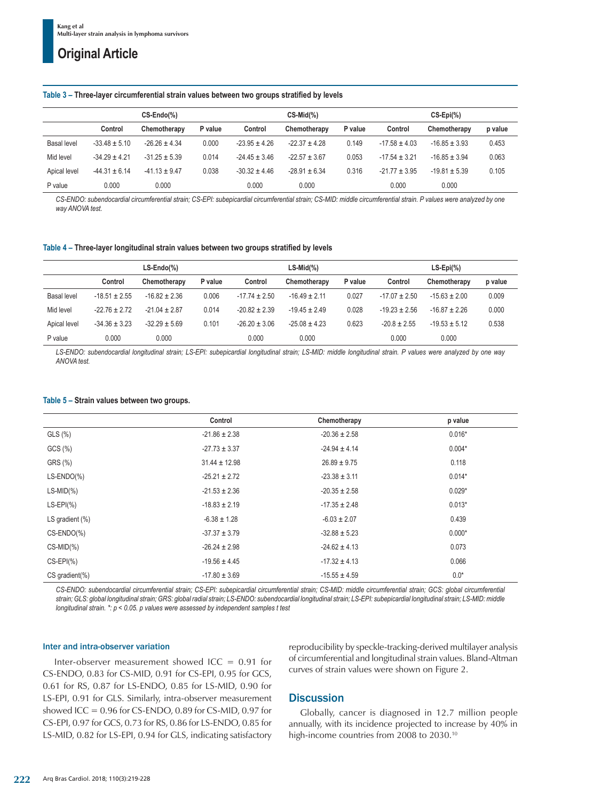#### **Table 3 – Three-layer circumferential strain values between two groups stratified by levels**

|                    | CS-Endo(%)        |                   |         | $CS\text{-Mid}(\%)$ |                   |         | $CS-Epi(\%)$      |                   |         |
|--------------------|-------------------|-------------------|---------|---------------------|-------------------|---------|-------------------|-------------------|---------|
|                    | Control           | Chemotherapy      | P value | Control             | Chemotherapy      | P value | Control           | Chemotherapy      | p value |
| <b>Basal level</b> | $-33.48 \pm 5.10$ | $-26.26 \pm 4.34$ | 0.000   | $-23.95 \pm 4.26$   | $-22.37 \pm 4.28$ | 0.149   | $-17.58 \pm 4.03$ | $-16.85 \pm 3.93$ | 0.453   |
| Mid level          | $-34.29 \pm 4.21$ | $-31.25 \pm 5.39$ | 0.014   | $-24.45 \pm 3.46$   | $-22.57 \pm 3.67$ | 0.053   | $-17.54 + 3.21$   | $-16.85 \pm 3.94$ | 0.063   |
| Apical level       | $-44.31 \pm 6.14$ | $-41.13 \pm 9.47$ | 0.038   | $-30.32 \pm 4.46$   | $-28.91 \pm 6.34$ | 0.316   | $-21.77 \pm 3.95$ | $-19.81 \pm 5.39$ | 0.105   |
| P value            | 0.000             | 0.000             |         | 0.000               | 0.000             |         | 0.000             | 0.000             |         |

CS-ENDO: subendocardial circumferential strain; CS-EPI: subepicardial circumferential strain; CS-MID: middle circumferential strain. P values were analyzed by one *way ANOVA test.*

#### **Table 4 – Three-layer longitudinal strain values between two groups stratified by levels**

|                    | $LS\text{-}Endo(\%)$ |                   | $LS-Mid(\%)$ |                   | $LS-Epi(\%)$      |         |                   |                   |         |
|--------------------|----------------------|-------------------|--------------|-------------------|-------------------|---------|-------------------|-------------------|---------|
|                    | Control              | Chemotherapy      | P value      | Control           | Chemotherapy      | P value | Control           | Chemotherapy      | p value |
| <b>Basal level</b> | $-18.51 \pm 2.55$    | $-16.82 \pm 2.36$ | 0.006        | $-17.74 \pm 2.50$ | $-16.49 \pm 2.11$ | 0.027   | $-17.07 \pm 2.50$ | $-15.63 \pm 2.00$ | 0.009   |
| Mid level          | $-22.76 \pm 2.72$    | $-21.04 \pm 2.87$ | 0.014        | $-20.82 \pm 2.39$ | $-19.45 \pm 2.49$ | 0.028   | $-19.23 \pm 2.56$ | $-16.87 \pm 2.26$ | 0.000   |
| Apical level       | $-34.36 \pm 3.23$    | $-32.29 \pm 5.69$ | 0.101        | $-26.20 \pm 3.06$ | $-25.08 \pm 4.23$ | 0.623   | $-20.8 \pm 2.55$  | $-19.53 \pm 5.12$ | 0.538   |
| P value            | 0.000                | 0.000             |              | 0.000             | 0.000             |         | 0.000             | 0.000             |         |

*LS-ENDO: subendocardial longitudinal strain; LS-EPI: subepicardial longitudinal strain; LS-MID: middle longitudinal strain. P values were analyzed by one way ANOVA test.*

#### **Table 5 – Strain values between two groups.**

|                    | Control           | Chemotherapy      | p value  |
|--------------------|-------------------|-------------------|----------|
| $GLS$ $(\%)$       | $-21.86 \pm 2.38$ | $-20.36 \pm 2.58$ | $0.016*$ |
| GCS(%)             | $-27.73 \pm 3.37$ | $-24.94 \pm 4.14$ | $0.004*$ |
| GRS (%)            | $31.44 \pm 12.98$ | $26.89 \pm 9.75$  | 0.118    |
| $LS-ENDO(\%)$      | $-25.21 \pm 2.72$ | $-23.38 \pm 3.11$ | $0.014*$ |
| $LS-MID(\%)$       | $-21.53 \pm 2.36$ | $-20.35 \pm 2.58$ | $0.029*$ |
| $LS-EPI(\%)$       | $-18.83 \pm 2.19$ | $-17.35 \pm 2.48$ | $0.013*$ |
| LS gradient $(\%)$ | $-6.38 \pm 1.28$  | $-6.03 \pm 2.07$  | 0.439    |
| CS-ENDO(%)         | $-37.37 \pm 3.79$ | $-32.88 \pm 5.23$ | $0.000*$ |
| $CS-MID(\%)$       | $-26.24 \pm 2.98$ | $-24.62 \pm 4.13$ | 0.073    |
| $CS-EPI(\%)$       | $-19.56 \pm 4.45$ | $-17.32 \pm 4.13$ | 0.066    |
| $CS$ gradient(%)   | $-17.80 \pm 3.69$ | $-15.55 \pm 4.59$ | $0.0*$   |

CS-ENDO: subendocardial circumferential strain; CS-EPI: subepicardial circumferential strain; CS-MID: middle circumferential strain; GCS: global circumferential *strain; GLS: global longitudinal strain; GRS: global radial strain; LS-ENDO: subendocardial longitudinal strain; LS-EPI: subepicardial longitudinal strain; LS-MID:middle longitudinal strain. \*: p < 0.05. p values were assessed by independent samples t test*

#### Inter and intra-observer variation

Inter-observer measurement showed ICC = 0.91 for CS-ENDO, 0.83 for CS-MID, 0.91 for CS-EPI, 0.95 for GCS, 0.61 for RS, 0.87 for LS-ENDO, 0.85 for LS-MID, 0.90 for LS-EPI, 0.91 for GLS. Similarly, intra-observer measurement showed ICC = 0.96 for CS-ENDO, 0.89 for CS-MID, 0.97 for CS-EPI, 0.97 for GCS, 0.73 for RS, 0.86 for LS-ENDO, 0.85 for LS-MID, 0.82 for LS-EPI, 0.94 for GLS, indicating satisfactory reproducibility by speckle-tracking-derived multilayer analysis of circumferential and longitudinal strain values. Bland-Altman curves of strain values were shown on Figure 2.

### **Discussion**

Globally, cancer is diagnosed in 12.7 million people annually, with its incidence projected to increase by 40% in high-income countries from 2008 to 2030.10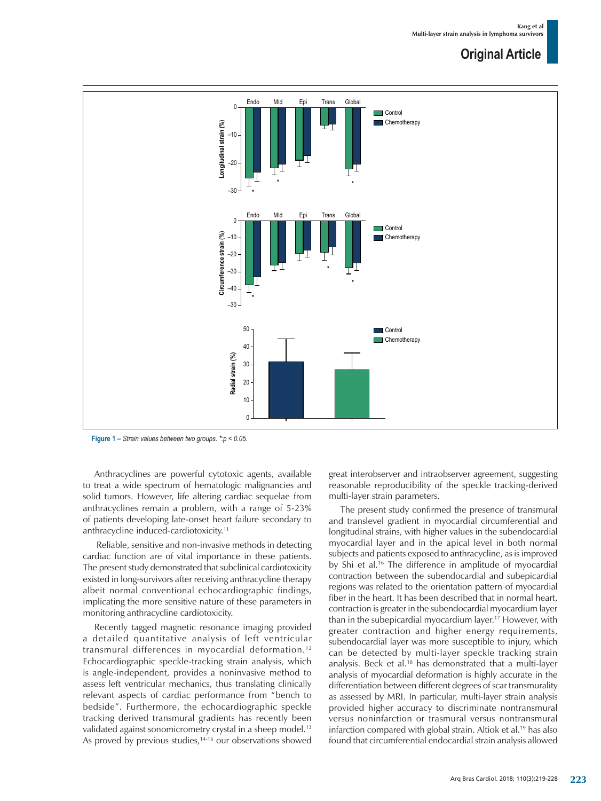

**Figure 1 –** *Strain values between two groups. \*:p < 0.05.*

Anthracyclines are powerful cytotoxic agents, available to treat a wide spectrum of hematologic malignancies and solid tumors. However, life altering cardiac sequelae from anthracyclines remain a problem, with a range of 5-23% of patients developing late-onset heart failure secondary to anthracycline induced-cardiotoxicity.11

 Reliable, sensitive and non-invasive methods in detecting cardiac function are of vital importance in these patients. The present study demonstrated that subclinical cardiotoxicity existed in long-survivors after receiving anthracycline therapy albeit normal conventional echocardiographic findings, implicating the more sensitive nature of these parameters in monitoring anthracycline cardiotoxicity.

Recently tagged magnetic resonance imaging provided a detailed quantitative analysis of left ventricular transmural differences in myocardial deformation.12 Echocardiographic speckle-tracking strain analysis, which is angle-independent, provides a noninvasive method to assess left ventricular mechanics, thus translating clinically relevant aspects of cardiac performance from "bench to bedside". Furthermore, the echocardiographic speckle tracking derived transmural gradients has recently been validated against sonomicrometry crystal in a sheep model.<sup>13</sup> As proved by previous studies, $14-16$  our observations showed great interobserver and intraobserver agreement, suggesting reasonable reproducibility of the speckle tracking-derived multi-layer strain parameters.

The present study confirmed the presence of transmural and translevel gradient in myocardial circumferential and longitudinal strains, with higher values in the subendocardial myocardial layer and in the apical level in both normal subjects and patients exposed to anthracycline, as is improved by Shi et al.<sup>16</sup> The difference in amplitude of myocardial contraction between the subendocardial and subepicardial regions was related to the orientation pattern of myocardial fiber in the heart. It has been described that in normal heart, contraction is greater in the subendocardial myocardium layer than in the subepicardial myocardium layer.17 However, with greater contraction and higher energy requirements, subendocardial layer was more susceptible to injury, which can be detected by multi-layer speckle tracking strain analysis. Beck et al.18 has demonstrated that a multi-layer analysis of myocardial deformation is highly accurate in the differentiation between different degrees of scar transmurality as assessed by MRI. In particular, multi-layer strain analysis provided higher accuracy to discriminate nontransmural versus noninfarction or trasmural versus nontransmural infarction compared with global strain. Altiok et al.<sup>19</sup> has also found that circumferential endocardial strain analysis allowed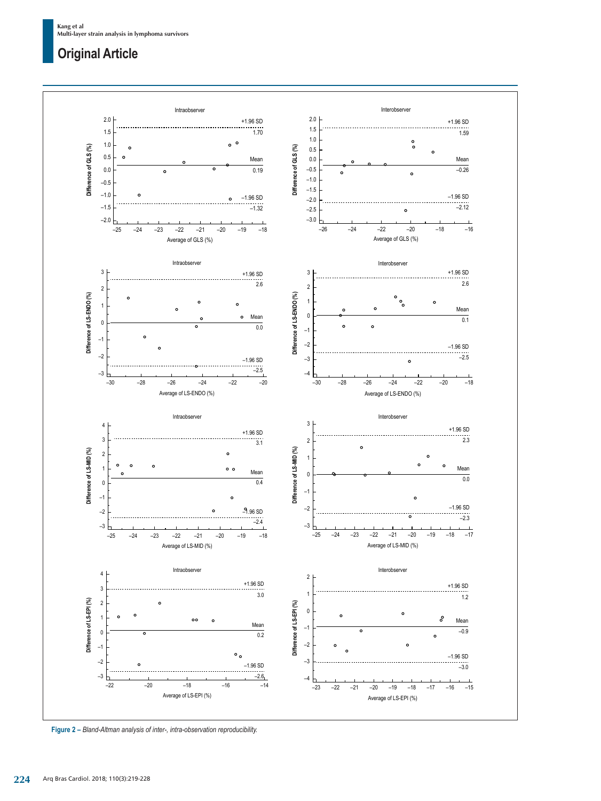

**Figure 2 –** *Bland-Altman analysis of inter-, intra-observation reproducibility.*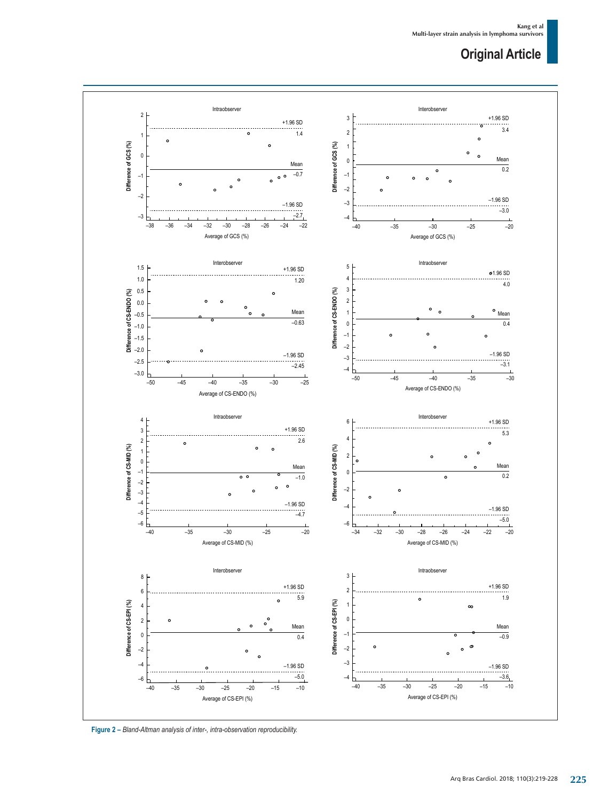

**Figure 2 –** *Bland-Altman analysis of inter-, intra-observation reproducibility.*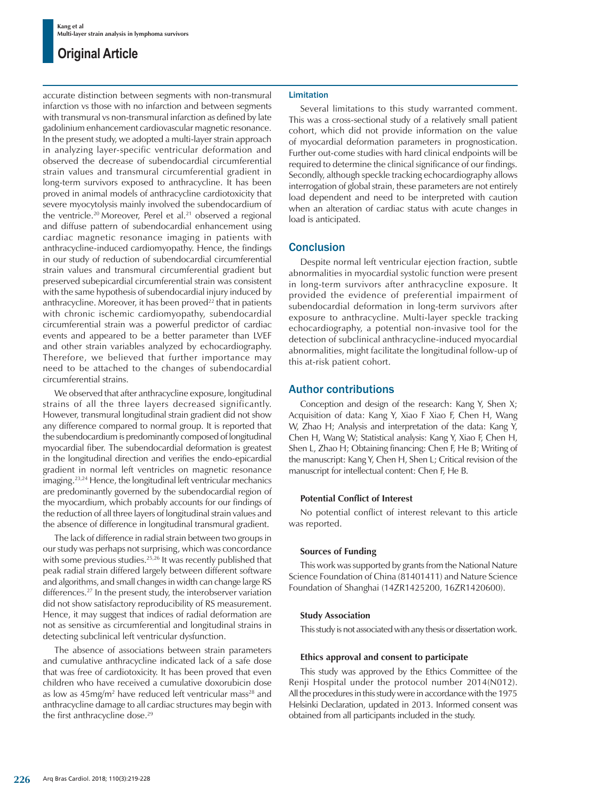accurate distinction between segments with non-transmural infarction vs those with no infarction and between segments with transmural vs non-transmural infarction as defined by late gadolinium enhancement cardiovascular magnetic resonance. In the present study, we adopted a multi-layer strain approach in analyzing layer-specific ventricular deformation and observed the decrease of subendocardial circumferential strain values and transmural circumferential gradient in long-term survivors exposed to anthracycline. It has been proved in animal models of anthracycline cardiotoxicity that severe myocytolysis mainly involved the subendocardium of the ventricle.<sup>20</sup> Moreover, Perel et al.<sup>21</sup> observed a regional and diffuse pattern of subendocardial enhancement using cardiac magnetic resonance imaging in patients with anthracycline-induced cardiomyopathy. Hence, the findings in our study of reduction of subendocardial circumferential strain values and transmural circumferential gradient but preserved subepicardial circumferential strain was consistent with the same hypothesis of subendocardial injury induced by anthracycline. Moreover, it has been proved $22$  that in patients with chronic ischemic cardiomyopathy, subendocardial circumferential strain was a powerful predictor of cardiac events and appeared to be a better parameter than LVEF and other strain variables analyzed by echocardiography. Therefore, we believed that further importance may need to be attached to the changes of subendocardial circumferential strains.

We observed that after anthracycline exposure, longitudinal strains of all the three layers decreased significantly. However, transmural longitudinal strain gradient did not show any difference compared to normal group. It is reported that the subendocardium is predominantly composed of longitudinal myocardial fiber. The subendocardial deformation is greatest in the longitudinal direction and verifies the endo-epicardial gradient in normal left ventricles on magnetic resonance imaging.23,24 Hence, the longitudinal left ventricular mechanics are predominantly governed by the subendocardial region of the myocardium, which probably accounts for our findings of the reduction of all three layers of longitudinal strain values and the absence of difference in longitudinal transmural gradient.

The lack of difference in radial strain between two groups in our study was perhaps not surprising, which was concordance with some previous studies.<sup>25,26</sup> It was recently published that peak radial strain differed largely between different software and algorithms, and small changes in width can change large RS differences.27 In the present study, the interobserver variation did not show satisfactory reproducibility of RS measurement. Hence, it may suggest that indices of radial deformation are not as sensitive as circumferential and longitudinal strains in detecting subclinical left ventricular dysfunction.

The absence of associations between strain parameters and cumulative anthracycline indicated lack of a safe dose that was free of cardiotoxicity. It has been proved that even children who have received a cumulative doxorubicin dose as low as  $45$ mg/m $^2$  have reduced left ventricular mass $^{28}$  and anthracycline damage to all cardiac structures may begin with the first anthracycline dose.<sup>29</sup>

#### Limitation

Several limitations to this study warranted comment. This was a cross-sectional study of a relatively small patient cohort, which did not provide information on the value of myocardial deformation parameters in prognostication. Further out-come studies with hard clinical endpoints will be required to determine the clinical significance of our findings. Secondly, although speckle tracking echocardiography allows interrogation of global strain, these parameters are not entirely load dependent and need to be interpreted with caution when an alteration of cardiac status with acute changes in load is anticipated.

### **Conclusion**

Despite normal left ventricular ejection fraction, subtle abnormalities in myocardial systolic function were present in long-term survivors after anthracycline exposure. It provided the evidence of preferential impairment of subendocardial deformation in long-term survivors after exposure to anthracycline. Multi-layer speckle tracking echocardiography, a potential non-invasive tool for the detection of subclinical anthracycline-induced myocardial abnormalities, might facilitate the longitudinal follow-up of this at-risk patient cohort.

#### Author contributions

Conception and design of the research: Kang Y, Shen X; Acquisition of data: Kang Y, Xiao F Xiao F, Chen H, Wang W, Zhao H; Analysis and interpretation of the data: Kang Y, Chen H, Wang W; Statistical analysis: Kang Y, Xiao F, Chen H, Shen L, Zhao H; Obtaining financing: Chen F, He B; Writing of the manuscript: Kang Y, Chen H, Shen L; Critical revision of the manuscript for intellectual content: Chen F, He B.

#### **Potential Conflict of Interest**

No potential conflict of interest relevant to this article was reported.

#### **Sources of Funding**

This work was supported by grants from the National Nature Science Foundation of China (81401411) and Nature Science Foundation of Shanghai (14ZR1425200, 16ZR1420600).

#### **Study Association**

This study is not associated with any thesis or dissertation work.

#### **Ethics approval and consent to participate**

This study was approved by the Ethics Committee of the Renji Hospital under the protocol number 2014(N012). All the procedures in this study were in accordance with the 1975 Helsinki Declaration, updated in 2013. Informed consent was obtained from all participants included in the study.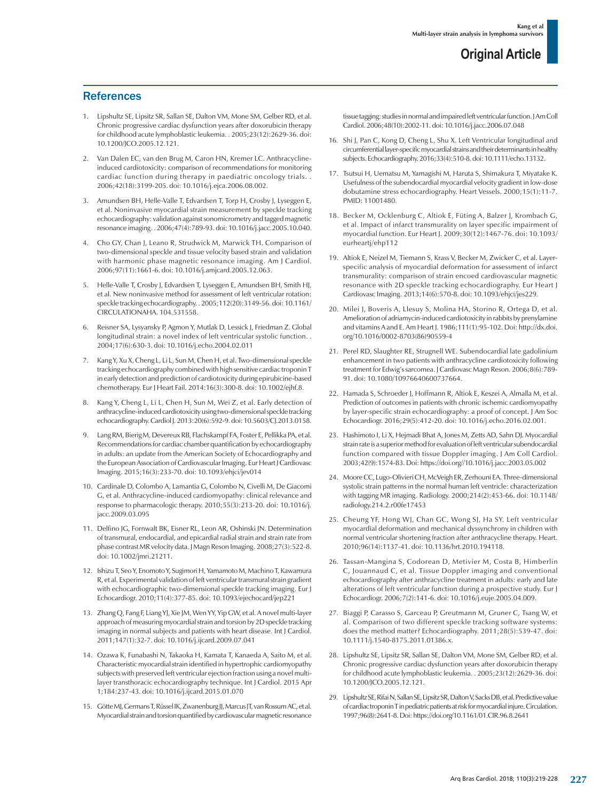### **References**

- 1. Lipshultz SE, Lipsitz SR, Sallan SE, Dalton VM, Mone SM, Gelber RD, et al. Chronic progressive cardiac dysfunction years after doxorubicin therapy for childhood acute lymphoblastic leukemia. . 2005;23(12):2629-36. doi: 10.1200/JCO.2005.12.121.
- 2. Van Dalen EC, van den Brug M, Caron HN, Kremer LC. Anthracyclineinduced cardiotoxicity: comparison of recommendations for monitoring cardiac function during therapy in paediatric oncology trials. . 2006;42(18):3199-205. doi: 10.1016/j.ejca.2006.08.002.
- 3. Amundsen BH, Helle-Valle T, Edvardsen T, Torp H, Crosby J, Lyseggen E, et al. Noninvasive myocardial strain measurement by speckle tracking echocardiography: validation against sonomicrometry and tagged magnetic resonance imaging. . 2006;47(4):789-93. doi: 10.1016/j.jacc.2005.10.040.
- 4. Cho GY, Chan J, Leano R, Strudwick M, Marwick TH. Comparison of two-dimensional speckle and tissue velocity based strain and validation with harmonic phase magnetic resonance imaging. Am J Cardiol. 2006;97(11):1661-6. doi: 10.1016/j.amjcard.2005.12.063.
- 5. Helle-Valle T, Crosby J, Edvardsen T, Lyseggen E, Amundsen BH, Smith HJ, et al. New noninvasive method for assessment of left ventricular rotation: speckle tracking echocardiography. . 2005;112(20):3149-56. doi: 10.1161/ CIRCULATIONAHA. 104.531558.
- 6. Reisner SA, Lysyansky P, Agmon Y, Mutlak D, Lessick J, Friedman Z. Global longitudinal strain: a novel index of left ventricular systolic function. . 2004;17(6):630-3. doi: 10.1016/j.echo.2004.02.011
- 7. Kang Y, Xu X, Cheng L, Li L, Sun M, Chen H, et al. Two-dimensional speckle tracking echocardiography combined with high sensitive cardiac troponin T in early detection and prediction of cardiotoxicity during epirubicine-based chemotherapy. Eur J Heart Fail. 2014:16(3):300-8. doi: 10.1002/ejhf.8.
- 8. Kang Y, Cheng L, Li L, Chen H, Sun M, Wei Z, et al. Early detection of anthracycline-induced cardiotoxicity using two-dimensional speckle tracking echocardiography. Cardiol J. 2013:20(6):592-9. doi: 10.5603/CJ.2013.0158.
- 9. Lang RM, Bierig M, Devereux RB, Flachskampf FA, Foster E, Pellikka PA, et al. Recommendations for cardiac chamber quantification by echocardiography in adults: an update from the American Society of Echocardiography and the European Association of Cardiovascular Imaging. Eur Heart J Cardiovasc Imaging. 2015;16(3):233-70. doi: 10.1093/ehjci/jev014
- 10. Cardinale D, Colombo A, Lamantia G, Colombo N, Civelli M, De Giacomi G, et al. Anthracycline-induced cardiomyopathy: clinical relevance and response to pharmacologic therapy. 2010;55(3):213-20. doi: 10.1016/j. jacc.2009.03.095
- 11. Delfino JG, Fornwalt BK, Eisner RL, Leon AR, Oshinski JN. Determination of transmural, endocardial, and epicardial radial strain and strain rate from phase contrast MR velocity data. J Magn Reson Imaging. 2008;27(3):522-8. doi: 10.1002/jmri.21211.
- 12. Ishizu T, Seo Y, Enomoto Y, Sugimori H, Yamamoto M, Machino T, Kawamura R, et al. Experimental validation of left ventricular transmural strain gradient with echocardiographic two-dimensional speckle tracking imaging. Eur J Echocardiogr. 2010;11(4):377-85. doi: 10.1093/ejechocard/jep221
- 13. Zhang Q, Fang F, Liang YJ, Xie JM, Wen YY, Yip GW, et al. A novel multi-layer approach of measuring myocardial strain and torsion by 2D speckle tracking imaging in normal subjects and patients with heart disease. Int J Cardiol. 2011;147(1):32-7. doi: 10.1016/j.ijcard.2009.07.041
- 14. Ozawa K, Funabashi N, Takaoka H, Kamata T, Kanaeda A, Saito M, et al. Characteristic myocardial strain identified in hypertrophic cardiomyopathy subjects with preserved left ventricular ejection fraction using a novel multilayer transthoracic echocardiography technique. Int J Cardiol. 2015 Apr 1;184:237-43. doi: 10.1016/j.ijcard.2015.01.070
- 15. Götte MJ, Germans T, Rüssel IK, Zwanenburg JJ, Marcus JT, van Rossum AC, et al. Myocardial strain and torsion quantified by cardiovascular magnetic resonance

tissue tagging: studies in normal and impaired left ventricular function. J Am Coll Cardiol. 2006;48(10):2002-11. doi: 10.1016/j.jacc.2006.07.048

- 16. Shi J, Pan C, Kong D, Cheng L, Shu X. Left Ventricular longitudinal and circumferential layer-specific myocardial strains and their determinants in healthy subjects. Echocardiography. 2016;33(4):510-8. doi: 10.1111/echo.13132.
- 17. Tsutsui H, Uematsu M, Yamagishi M, Haruta S, Shimakura T, Miyatake K. Usefulness of the subendocardial myocardial velocity gradient in low-dose dobutamine stress echocardiography. Heart Vessels. 2000;15(1):11-7. PMID: 11001480.
- 18. Becker M, Ocklenburg C, Altiok E, Füting A, Balzer J, Krombach G, et al. Impact of infarct transmurality on layer specific impairment of myocardial function. Eur Heart J. 2009;30(12):1467-76. doi: 10.1093/ eurheartj/ehp112
- 19. Altiok E, Neizel M, Tiemann S, Krass V, Becker M, Zwicker C, et al. Layerspecific analysis of myocardial deformation for assessment of infarct transmurality: comparison of strain encoed cardiovascular magnetic resonance with 2D speckle tracking echocardiography. Eur Heart J Cardiovasc Imaging. 2013;14(6):570-8. doi: 10.1093/ehjci/jes229.
- 20. Milei J, Boveris A, Llesuy S, Molina HA, Storino R, Ortega D, et al. Amelioration of adriamycin-induced cardiotoxicity in rabbits by prenylamine and vitamins A and E. Am Heart J. 1986;111(1):95-102. Doi: http://dx.doi. org/10.1016/0002-8703(86)90559-4
- 21. Perel RD, Slaughter RE, Strugnell WE. Subendocardial late gadolinium enhancement in two patients with anthracycline cardiotoxicity following treatment for Edwig's sarcomea. J Cardiovasc Magn Reson. 2006;8(6):789- 91. doi: 10.1080/10976640600737664.
- 22. Hamada S, Schroeder J, Hoffmann R, Altiok E, Keszei A, Almalla M, et al. Prediction of outcomes in patients with chronic ischemic cardiomyopathy by layer-specific strain echocardiography: a proof of concept. J Am Soc Echocardiogr. 2016;29(5):412-20. doi: 10.1016/j.echo.2016.02.001.
- 23. Hashimoto I, Li X, Hejmadi Bhat A, Jones M, Zetts AD, Sahn DJ. Myocardial strain rate is a superior method for evaluation of left ventricular subendocardial function compared with tissue Doppler imaging. J Am Coll Cardiol. 2003;42(9):1574-83. Doi: https://doi.org//10.1016/j.jacc.2003.05.002
- 24. Moore CC, Lugo-Olivieri CH, McVeigh ER, Zerhouni EA. Three-dimensional systolic strain patterns in the normal human left ventricle: characterization with tagging MR imaging. Radiology. 2000;214(2):453-66. doi: 10.1148/ radiology.214.2.r00fe17453
- 25. Cheung YF, Hong WJ, Chan GC, Wong SJ, Ha SY. Left ventricular myocardial deformation and mechanical dyssynchrony in children with normal ventricular shortening fraction after anthracycline therapy. Heart. 2010;96(14):1137-41. doi: 10.1136/hrt.2010.194118.
- 26. Tassan-Mangina S, Codorean D, Metivier M, Costa B, Himberlin C, Jouannaud C, et al. Tissue Doppler imaging and conventional echocardiography after anthracycline treatment in adults: early and late alterations of left ventricular function during a prospective study. Eur J Echocardiogr. 2006;7(2):141-6. doi: 10.1016/j.euje.2005.04.009.
- 27. Biaggi P, Carasso S, Garceau P, Greutmann M, Gruner C, Tsang W, et al. Comparison of two different speckle tracking software systems: does the method matter? Echocardiography. 2011;28(5):539-47. doi: 10.1111/j.1540-8175.2011.01386.x.
- 28. Lipshultz SE, Lipsitz SR, Sallan SE, Dalton VM, Mone SM, Gelber RD, et al. Chronic progressive cardiac dysfunction years after doxorubicin therapy for childhood acute lymphoblastic leukemia. . 2005;23(12):2629-36. doi: 10.1200/JCO.2005.12.121.
- 29. Lipshultz SE, Rifai N, Sallan SE, Lipsitz SR, Dalton V, Sacks DB, et al. Predictive value of cardiac troponin T in pediatric patients at risk for myocardial injure. Circulation. 1997;96(8):2641-8. Doi: https://doi.org/10.1161/01.CIR.96.8.2641